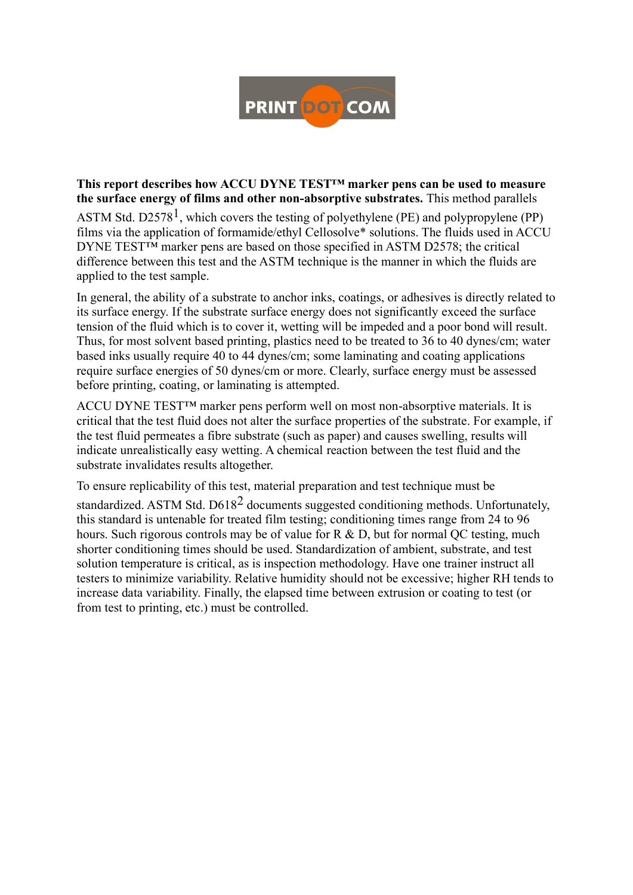

#### **This report describes how ACCU DYNE TEST™ marker pens can be used to measure the surface energy of films and other non-absorptive substrates.** This method parallels

ASTM Std. D2578<sup>1</sup>, which covers the testing of polyethylene (PE) and polypropylene (PP) films via the application of formamide/ethyl Cellosolve\* solutions. The fluids used in ACCU DYNE TEST™ marker pens are based on those specified in ASTM D2578; the critical difference between this test and the ASTM technique is the manner in which the fluids are applied to the test sample.

In general, the ability of a substrate to anchor inks, coatings, or adhesives is directly related to its surface energy. If the substrate surface energy does not significantly exceed the surface tension of the fluid which is to cover it, wetting will be impeded and a poor bond will result. Thus, for most solvent based printing, plastics need to be treated to 36 to 40 dynes/cm; water based inks usually require 40 to 44 dynes/cm; some laminating and coating applications require surface energies of 50 dynes/cm or more. Clearly, surface energy must be assessed before printing, coating, or laminating is attempted.

ACCU DYNE TEST™ marker pens perform well on most non-absorptive materials. It is critical that the test fluid does not alter the surface properties of the substrate. For example, if the test fluid permeates a fibre substrate (such as paper) and causes swelling, results will indicate unrealistically easy wetting. A chemical reaction between the test fluid and the substrate invalidates results altogether.

To ensure replicability of this test, material preparation and test technique must be

standardized. ASTM Std. D618<sup>2</sup> documents suggested conditioning methods. Unfortunately, this standard is untenable for treated film testing; conditioning times range from 24 to 96 hours. Such rigorous controls may be of value for R & D, but for normal QC testing, much shorter conditioning times should be used. Standardization of ambient, substrate, and test solution temperature is critical, as is inspection methodology. Have one trainer instruct all testers to minimize variability. Relative humidity should not be excessive; higher RH tends to increase data variability. Finally, the elapsed time between extrusion or coating to test (or from test to printing, etc.) must be controlled.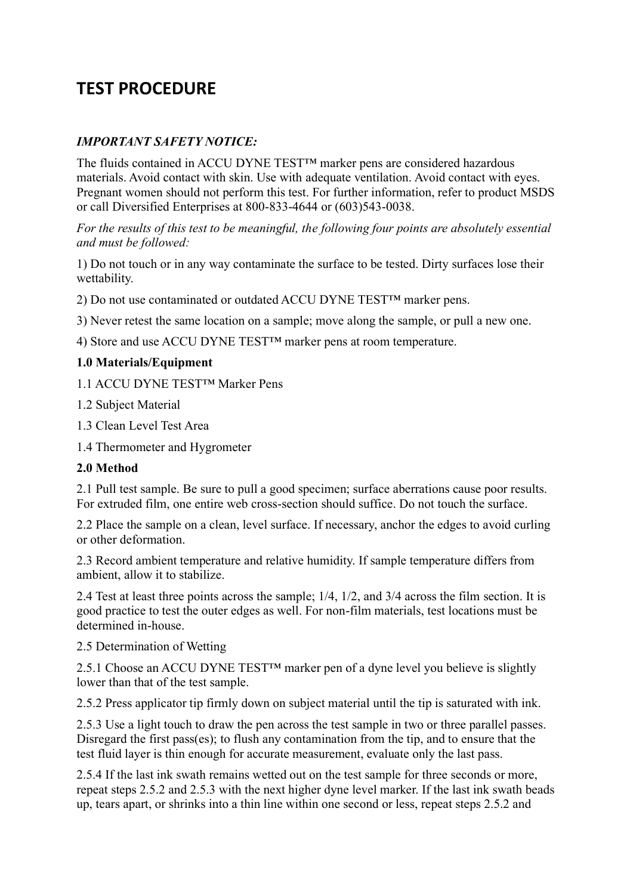# **TEST PROCEDURE**

## *IMPORTANT SAFETY NOTICE:*

The fluids contained in ACCU DYNE TEST™ marker pens are considered hazardous materials. Avoid contact with skin. Use with adequate ventilation. Avoid contact with eyes. Pregnant women should not perform this test. For further information, refer to product MSDS or call Diversified Enterprises at 800-833-4644 or (603)543-0038.

*For the results of this test to be meaningful, the following four points are absolutely essential and must be followed:*

1) Do not touch or in any way contaminate the surface to be tested. Dirty surfaces lose their wettability.

2) Do not use contaminated or outdated ACCU DYNE TEST™ marker pens.

3) Never retest the same location on a sample; move along the sample, or pull a new one.

4) Store and use ACCU DYNE TEST™ marker pens at room temperature.

### **1.0 Materials/Equipment**

1.1 ACCU DYNE TEST™ Marker Pens

1.2 Subject Material

1.3 Clean Level Test Area

1.4 Thermometer and Hygrometer

#### **2.0 Method**

2.1 Pull test sample. Be sure to pull a good specimen; surface aberrations cause poor results. For extruded film, one entire web cross-section should suffice. Do not touch the surface.

2.2 Place the sample on a clean, level surface. If necessary, anchor the edges to avoid curling or other deformation.

2.3 Record ambient temperature and relative humidity. If sample temperature differs from ambient, allow it to stabilize.

2.4 Test at least three points across the sample; 1/4, 1/2, and 3/4 across the film section. It is good practice to test the outer edges as well. For non-film materials, test locations must be determined in-house.

### 2.5 Determination of Wetting

2.5.1 Choose an ACCU DYNE TEST<sup>™</sup> marker pen of a dyne level you believe is slightly lower than that of the test sample.

2.5.2 Press applicator tip firmly down on subject material until the tip is saturated with ink.

2.5.3 Use a light touch to draw the pen across the test sample in two or three parallel passes. Disregard the first pass(es); to flush any contamination from the tip, and to ensure that the test fluid layer is thin enough for accurate measurement, evaluate only the last pass.

2.5.4 If the last ink swath remains wetted out on the test sample for three seconds or more, repeat steps 2.5.2 and 2.5.3 with the next higher dyne level marker. If the last ink swath beads up, tears apart, or shrinks into a thin line within one second or less, repeat steps 2.5.2 and